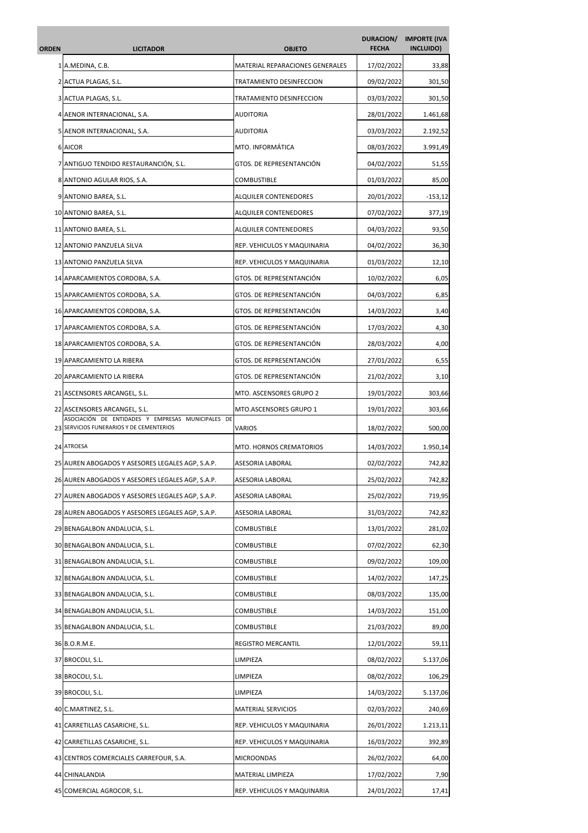| ORDEN | <b>LICITADOR</b>                                                                              | <b>OBJETO</b>                   | DURACION/<br><b>FECHA</b> | <b>IMPORTE (IVA</b><br>INCLUIDO) |
|-------|-----------------------------------------------------------------------------------------------|---------------------------------|---------------------------|----------------------------------|
|       | 1 A.MEDINA, C.B.                                                                              | MATERIAL REPARACIONES GENERALES | 17/02/2022                | 33,88                            |
|       | 2 ACTUA PLAGAS, S.L.                                                                          | TRATAMIENTO DESINFECCION        | 09/02/2022                | 301,50                           |
|       | 3 ACTUA PLAGAS, S.L.                                                                          | TRATAMIENTO DESINFECCION        | 03/03/2022                | 301,50                           |
| 4     | AENOR INTERNACIONAL, S.A.                                                                     | <b>AUDITORIA</b>                | 28/01/2022                | 1.461,68                         |
|       | 5 AENOR INTERNACIONAL, S.A.                                                                   | <b>AUDITORIA</b>                | 03/03/2022                | 2.192,52                         |
|       | 6 AICOR                                                                                       | MTO. INFORMÁTICA                | 08/03/2022                | 3.991,49                         |
|       | 7 ANTIGUO TENDIDO RESTAURANCIÓN, S.L.                                                         | GTOS. DE REPRESENTANCIÓN        | 04/02/2022                | 51,55                            |
|       | 8 ANTONIO AGULAR RIOS, S.A.                                                                   | <b>COMBUSTIBLE</b>              | 01/03/2022                | 85,00                            |
|       | 9 ANTONIO BAREA, S.L.                                                                         | <b>ALQUILER CONTENEDORES</b>    | 20/01/2022                | $-153,12$                        |
|       | 10 ANTONIO BAREA, S.L.                                                                        | <b>ALQUILER CONTENEDORES</b>    | 07/02/2022                | 377,19                           |
|       | 11 ANTONIO BAREA, S.L.                                                                        | ALQUILER CONTENEDORES           | 04/03/2022                | 93,50                            |
|       | 12 ANTONIO PANZUELA SILVA                                                                     | REP. VEHICULOS Y MAQUINARIA     | 04/02/2022                | 36,30                            |
|       | 13 ANTONIO PANZUELA SILVA                                                                     | REP. VEHICULOS Y MAQUINARIA     | 01/03/2022                | 12,10                            |
|       | 14 APARCAMIENTOS CORDOBA, S.A.                                                                | GTOS. DE REPRESENTANCIÓN        | 10/02/2022                | 6,05                             |
|       | 15 APARCAMIENTOS CORDOBA, S.A.                                                                | GTOS. DE REPRESENTANCIÓN        | 04/03/2022                | 6,85                             |
|       | 16 APARCAMIENTOS CORDOBA, S.A.                                                                | GTOS. DE REPRESENTANCIÓN        | 14/03/2022                | 3,40                             |
|       | 17 APARCAMIENTOS CORDOBA, S.A.                                                                | GTOS. DE REPRESENTANCIÓN        | 17/03/2022                | 4,30                             |
|       | 18 APARCAMIENTOS CORDOBA, S.A.                                                                | GTOS. DE REPRESENTANCIÓN        | 28/03/2022                | 4,00                             |
|       | 19 APARCAMIENTO LA RIBERA                                                                     | GTOS. DE REPRESENTANCIÓN        | 27/01/2022                | 6,55                             |
|       | 20 APARCAMIENTO LA RIBERA                                                                     | GTOS. DE REPRESENTANCIÓN        | 21/02/2022                | 3,10                             |
|       | 21 ASCENSORES ARCANGEL, S.L.                                                                  | MTO. ASCENSORES GRUPO 2         | 19/01/2022                | 303,66                           |
|       | 22 ASCENSORES ARCANGEL, S.L.                                                                  | MTO.ASCENSORES GRUPO 1          | 19/01/2022                | 303,66                           |
|       | ASOCIACIÓN DE ENTIDADES Y EMPRESAS MUNICIPALES DE<br>23 SERVICIOS FUNERARIOS Y DE CEMENTERIOS | VARIOS                          | 18/02/2022                | 500,00                           |
|       | 24 ATROESA                                                                                    | MTO. HORNOS CREMATORIOS         | 14/03/2022                | 1.950,14                         |
|       | 25 AUREN ABOGADOS Y ASESORES LEGALES AGP, S.A.P.                                              | ASESORIA LABORAL                | 02/02/2022                | 742,82                           |
|       | 26 AUREN ABOGADOS Y ASESORES LEGALES AGP, S.A.P.                                              | ASESORIA LABORAL                | 25/02/2022                | 742,82                           |
|       | 27 AUREN ABOGADOS Y ASESORES LEGALES AGP, S.A.P.                                              | ASESORIA LABORAL                | 25/02/2022                | 719,95                           |
|       | 28 AUREN ABOGADOS Y ASESORES LEGALES AGP, S.A.P.                                              | ASESORIA LABORAL                | 31/03/2022                | 742,82                           |
|       | 29 BENAGALBON ANDALUCIA, S.L.                                                                 | COMBUSTIBLE                     | 13/01/2022                | 281,02                           |
|       | 30 BENAGALBON ANDALUCIA, S.L.                                                                 | COMBUSTIBLE                     | 07/02/2022                | 62,30                            |
|       | 31 BENAGALBON ANDALUCIA, S.L.                                                                 | <b>COMBUSTIBLE</b>              | 09/02/2022                | 109,00                           |
|       | 32 BENAGALBON ANDALUCIA, S.L.                                                                 | COMBUSTIBLE                     | 14/02/2022                | 147,25                           |
|       | 33 BENAGALBON ANDALUCIA, S.L.                                                                 | COMBUSTIBLE                     | 08/03/2022                | 135,00                           |
|       | 34 BENAGALBON ANDALUCIA, S.L.                                                                 | COMBUSTIBLE                     | 14/03/2022                | 151,00                           |
|       | 35 BENAGALBON ANDALUCIA, S.L.                                                                 | <b>COMBUSTIBLE</b>              | 21/03/2022                | 89,00                            |
|       | 36 B.O.R.M.E.                                                                                 | REGISTRO MERCANTIL              | 12/01/2022                | 59,11                            |
|       | 37 BROCOLI, S.L.                                                                              | LIMPIEZA                        | 08/02/2022                | 5.137,06                         |
|       | 38 BROCOLI, S.L.                                                                              | LIMPIEZA                        | 08/02/2022                | 106,29                           |
|       | 39 BROCOLI, S.L.                                                                              | LIMPIEZA                        | 14/03/2022                | 5.137,06                         |
|       | 40 C.MARTINEZ, S.L.                                                                           | <b>MATERIAL SERVICIOS</b>       | 02/03/2022                | 240,69                           |
|       | 41 CARRETILLAS CASARICHE, S.L.                                                                | REP. VEHICULOS Y MAQUINARIA     | 26/01/2022                | 1.213,11                         |
|       | 42 CARRETILLAS CASARICHE, S.L.                                                                | REP. VEHICULOS Y MAQUINARIA     | 16/03/2022                | 392,89                           |
|       | 43 CENTROS COMERCIALES CARREFOUR, S.A.                                                        | <b>MICROONDAS</b>               | 26/02/2022                | 64,00                            |
|       | 44 CHINALANDIA                                                                                | MATERIAL LIMPIEZA               | 17/02/2022                | 7,90                             |
| 45    | COMERCIAL AGROCOR, S.L.                                                                       | REP. VEHICULOS Y MAQUINARIA     | 24/01/2022                | 17,41                            |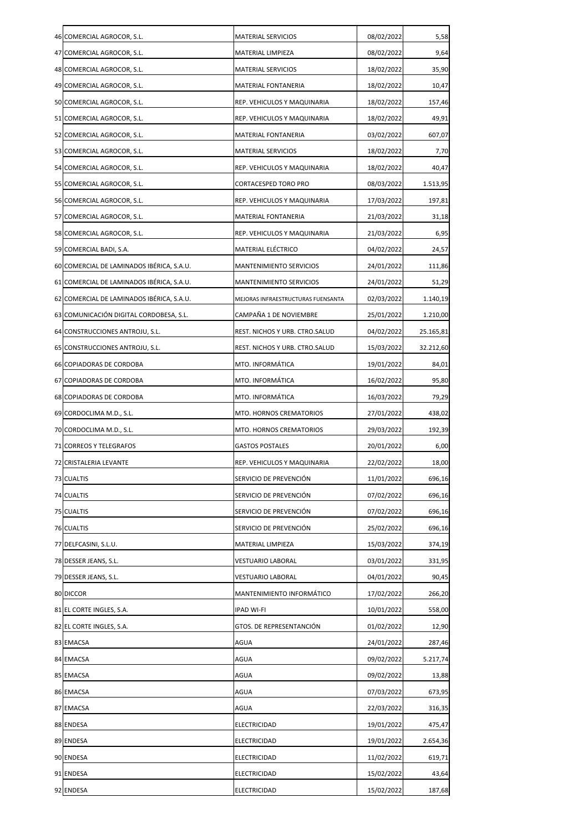| 46 COMERCIAL AGROCOR, S.L.                | <b>MATERIAL SERVICIOS</b>          | 08/02/2022 | 5,58      |
|-------------------------------------------|------------------------------------|------------|-----------|
| 47 COMERCIAL AGROCOR, S.L.                | MATERIAL LIMPIEZA                  | 08/02/2022 | 9,64      |
| 48 COMERCIAL AGROCOR, S.L.                | MATERIAL SERVICIOS                 | 18/02/2022 | 35,90     |
| 49 COMERCIAL AGROCOR, S.L.                | MATERIAL FONTANERIA                | 18/02/2022 | 10,47     |
| 50 COMERCIAL AGROCOR, S.L.                | REP. VEHICULOS Y MAQUINARIA        | 18/02/2022 | 157,46    |
| 51 COMERCIAL AGROCOR, S.L.                | REP. VEHICULOS Y MAQUINARIA        | 18/02/2022 | 49,91     |
| 52 COMERCIAL AGROCOR, S.L.                | MATERIAL FONTANERIA                | 03/02/2022 | 607,07    |
| 53 COMERCIAL AGROCOR, S.L.                | MATERIAL SERVICIOS                 | 18/02/2022 | 7,70      |
| 54 COMERCIAL AGROCOR, S.L.                | REP. VEHICULOS Y MAQUINARIA        | 18/02/2022 | 40,47     |
| 55 COMERCIAL AGROCOR, S.L.                | <b>CORTACESPED TORO PRO</b>        | 08/03/2022 | 1.513,95  |
| 56 COMERCIAL AGROCOR, S.L.                | REP. VEHICULOS Y MAQUINARIA        | 17/03/2022 | 197,81    |
| 57 COMERCIAL AGROCOR, S.L.                | MATERIAL FONTANERIA                | 21/03/2022 | 31,18     |
| 58 COMERCIAL AGROCOR, S.L.                | REP. VEHICULOS Y MAQUINARIA        | 21/03/2022 | 6,95      |
| 59 COMERCIAL BADI, S.A.                   | MATERIAL ELÉCTRICO                 | 04/02/2022 | 24,57     |
| 60 COMERCIAL DE LAMINADOS IBÉRICA, S.A.U. | <b>MANTENIMIENTO SERVICIOS</b>     | 24/01/2022 | 111,86    |
| 61 COMERCIAL DE LAMINADOS IBÉRICA, S.A.U. | <b>MANTENIMIENTO SERVICIOS</b>     | 24/01/2022 | 51,29     |
| 62 COMERCIAL DE LAMINADOS IBÉRICA, S.A.U. | MEJORAS INFRAESTRUCTURAS FUENSANTA | 02/03/2022 | 1.140,19  |
| 63 COMUNICACIÓN DIGITAL CORDOBESA, S.L.   | CAMPAÑA 1 DE NOVIEMBRE             | 25/01/2022 | 1.210,00  |
| 64 CONSTRUCCIONES ANTROJU, S.L.           | REST. NICHOS Y URB. CTRO.SALUD     | 04/02/2022 | 25.165,81 |
| 65 CONSTRUCCIONES ANTROJU, S.L.           | REST. NICHOS Y URB. CTRO.SALUD     | 15/03/2022 | 32.212,60 |
| 66 COPIADORAS DE CORDOBA                  | MTO. INFORMÁTICA                   | 19/01/2022 | 84,01     |
| 67 COPIADORAS DE CORDOBA                  | MTO. INFORMÁTICA                   | 16/02/2022 | 95,80     |
| 68 COPIADORAS DE CORDOBA                  | MTO. INFORMÁTICA                   | 16/03/2022 | 79,29     |
| 69 CORDOCLIMA M.D., S.L.                  | MTO. HORNOS CREMATORIOS            | 27/01/2022 | 438,02    |
| 70 CORDOCLIMA M.D., S.L.                  | MTO. HORNOS CREMATORIOS            | 29/03/2022 | 192,39    |
| 71 CORREOS Y TELEGRAFOS                   | <b>GASTOS POSTALES</b>             | 20/01/2022 | 6,00      |
| 72 CRISTALERIA LEVANTE                    | REP. VEHICULOS Y MAQUINARIA        | 22/02/2022 | 18,00     |
| 73 CUALTIS                                | SERVICIO DE PREVENCIÓN             | 11/01/2022 | 696,16    |
| 74 CUALTIS                                | SERVICIO DE PREVENCIÓN             | 07/02/2022 | 696,16    |
| 75 CUALTIS                                | SERVICIO DE PREVENCIÓN             | 07/02/2022 | 696,16    |
| 76 CUALTIS                                | SERVICIO DE PREVENCIÓN             | 25/02/2022 | 696,16    |
| 77 DELFCASINI, S.L.U.                     | MATERIAL LIMPIEZA                  | 15/03/2022 | 374,19    |
| 78 DESSER JEANS, S.L.                     | VESTUARIO LABORAL                  | 03/01/2022 | 331,95    |
| 79 DESSER JEANS, S.L.                     | VESTUARIO LABORAL                  | 04/01/2022 | 90,45     |
| 80 DICCOR                                 | MANTENIMIENTO INFORMÁTICO          | 17/02/2022 | 266,20    |
| 81 EL CORTE INGLES, S.A.                  | IPAD WI-FI                         | 10/01/2022 | 558,00    |
| 82 EL CORTE INGLES, S.A.                  | GTOS. DE REPRESENTANCIÓN           | 01/02/2022 | 12,90     |
| 83 EMACSA                                 | AGUA                               | 24/01/2022 | 287,46    |
| 84 EMACSA                                 | AGUA                               | 09/02/2022 | 5.217,74  |
| 85 EMACSA                                 | AGUA                               | 09/02/2022 | 13,88     |
| 86 EMACSA                                 | AGUA                               | 07/03/2022 | 673,95    |
| 87 EMACSA                                 | AGUA                               | 22/03/2022 | 316,35    |
| 88 ENDESA                                 | ELECTRICIDAD                       | 19/01/2022 | 475,47    |
| 89 ENDESA                                 | ELECTRICIDAD                       | 19/01/2022 | 2.654,36  |
| 90 ENDESA                                 | ELECTRICIDAD                       | 11/02/2022 | 619,71    |
| 91 ENDESA                                 | ELECTRICIDAD                       | 15/02/2022 | 43,64     |
| 92 ENDESA                                 | ELECTRICIDAD                       | 15/02/2022 | 187,68    |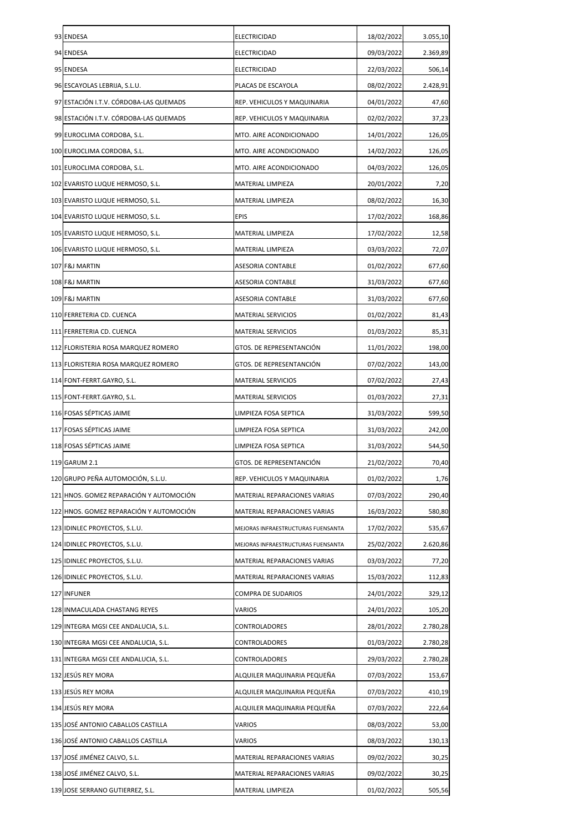| 93 ENDESA                               | <b>ELECTRICIDAD</b>                | 18/02/2022 | 3.055,10 |
|-----------------------------------------|------------------------------------|------------|----------|
| 94 ENDESA                               | ELECTRICIDAD                       | 09/03/2022 | 2.369,89 |
| 95 ENDESA                               | ELECTRICIDAD                       | 22/03/2022 | 506,14   |
| 96 ESCAYOLAS LEBRIJA, S.L.U.            | PLACAS DE ESCAYOLA                 | 08/02/2022 | 2.428,91 |
| 97 ESTACIÓN I.T.V. CÓRDOBA-LAS QUEMADS  | REP. VEHICULOS Y MAQUINARIA        | 04/01/2022 | 47,60    |
| 98 ESTACIÓN I.T.V. CÓRDOBA-LAS QUEMADS  | REP. VEHICULOS Y MAQUINARIA        | 02/02/2022 | 37,23    |
| 99 EUROCLIMA CORDOBA, S.L.              | MTO. AIRE ACONDICIONADO            | 14/01/2022 | 126,05   |
| 100 EUROCLIMA CORDOBA, S.L.             | MTO. AIRE ACONDICIONADO            | 14/02/2022 | 126,05   |
| 101 EUROCLIMA CORDOBA, S.L.             | MTO. AIRE ACONDICIONADO            | 04/03/2022 | 126,05   |
| 102 EVARISTO LUQUE HERMOSO, S.L.        | MATERIAL LIMPIEZA                  | 20/01/2022 | 7,20     |
| 103 EVARISTO LUQUE HERMOSO, S.L.        | MATERIAL LIMPIEZA                  | 08/02/2022 | 16,30    |
| 104 EVARISTO LUQUE HERMOSO, S.L.        | <b>EPIS</b>                        | 17/02/2022 | 168,86   |
| 105 EVARISTO LUQUE HERMOSO, S.L.        | MATERIAL LIMPIEZA                  | 17/02/2022 | 12,58    |
| 106 EVARISTO LUQUE HERMOSO, S.L.        | MATERIAL LIMPIEZA                  | 03/03/2022 | 72,07    |
| 107 F&J MARTIN                          | <b>ASESORIA CONTABLE</b>           | 01/02/2022 | 677,60   |
| 108 F&J MARTIN                          | ASESORIA CONTABLE                  | 31/03/2022 | 677,60   |
| 109 F&J MARTIN                          | ASESORIA CONTABLE                  | 31/03/2022 | 677,60   |
| 110 FERRETERIA CD. CUENCA               | <b>MATERIAL SERVICIOS</b>          | 01/02/2022 | 81,43    |
| 111 FERRETERIA CD. CUENCA               | <b>MATERIAL SERVICIOS</b>          | 01/03/2022 | 85,31    |
| 112 FLORISTERIA ROSA MARQUEZ ROMERO     | GTOS. DE REPRESENTANCIÓN           | 11/01/2022 | 198,00   |
| 113 FLORISTERIA ROSA MARQUEZ ROMERO     | GTOS. DE REPRESENTANCIÓN           | 07/02/2022 | 143,00   |
| 114 FONT-FERRT.GAYRO, S.L.              | <b>MATERIAL SERVICIOS</b>          | 07/02/2022 | 27,43    |
| 115 FONT-FERRT.GAYRO, S.L.              | <b>MATERIAL SERVICIOS</b>          | 01/03/2022 | 27,31    |
| 116 FOSAS SÉPTICAS JAIME                | LIMPIEZA FOSA SEPTICA              | 31/03/2022 | 599,50   |
| 117 FOSAS SÉPTICAS JAIME                | LIMPIEZA FOSA SEPTICA              | 31/03/2022 | 242,00   |
| 118 FOSAS SÉPTICAS JAIME                | LIMPIEZA FOSA SEPTICA              | 31/03/2022 | 544,50   |
| 119 GARUM 2.1                           | GTOS. DE REPRESENTANCIÓN           | 21/02/2022 | 70,40    |
| 120 GRUPO PEÑA AUTOMOCIÓN, S.L.U.       | REP. VEHICULOS Y MAQUINARIA        | 01/02/2022 | 1,76     |
| 121 HNOS. GOMEZ REPARACIÓN Y AUTOMOCIÓN | MATERIAL REPARACIONES VARIAS       | 07/03/2022 | 290,40   |
| 122 HNOS. GOMEZ REPARACIÓN Y AUTOMOCIÓN | MATERIAL REPARACIONES VARIAS       | 16/03/2022 | 580,80   |
| 123 IDINLEC PROYECTOS, S.L.U.           | MEJORAS INFRAESTRUCTURAS FUENSANTA | 17/02/2022 | 535,67   |
| 124 IDINLEC PROYECTOS, S.L.U.           | MEJORAS INFRAESTRUCTURAS FUENSANTA | 25/02/2022 | 2.620,86 |
| 125 IDINLEC PROYECTOS, S.L.U.           | MATERIAL REPARACIONES VARIAS       | 03/03/2022 | 77,20    |
| 126 IDINLEC PROYECTOS, S.L.U.           | MATERIAL REPARACIONES VARIAS       | 15/03/2022 | 112,83   |
| 127 INFUNER                             | <b>COMPRA DE SUDARIOS</b>          | 24/01/2022 | 329,12   |
| 128 INMACULADA CHASTANG REYES           | VARIOS                             | 24/01/2022 | 105,20   |
| 129 INTEGRA MGSI CEE ANDALUCIA, S.L.    | CONTROLADORES                      | 28/01/2022 | 2.780,28 |
| 130 INTEGRA MGSI CEE ANDALUCIA, S.L.    | CONTROLADORES                      | 01/03/2022 | 2.780,28 |
| 131 INTEGRA MGSI CEE ANDALUCIA, S.L.    | CONTROLADORES                      | 29/03/2022 | 2.780,28 |
| 132 JESÚS REY MORA                      | ALQUILER MAQUINARIA PEQUEÑA        | 07/03/2022 | 153,67   |
| 133 JESÚS REY MORA                      | ALQUILER MAQUINARIA PEQUEÑA        | 07/03/2022 | 410,19   |
| 134 JESÚS REY MORA                      | ALQUILER MAQUINARIA PEQUEÑA        | 07/03/2022 | 222,64   |
| 135 JOSÉ ANTONIO CABALLOS CASTILLA      | VARIOS                             | 08/03/2022 | 53,00    |
| 136 JOSÉ ANTONIO CABALLOS CASTILLA      | VARIOS                             | 08/03/2022 | 130,13   |
| 137 JOSÉ JIMÉNEZ CALVO, S.L.            | MATERIAL REPARACIONES VARIAS       | 09/02/2022 | 30,25    |
| 138 JOSÉ JIMÉNEZ CALVO, S.L.            | MATERIAL REPARACIONES VARIAS       | 09/02/2022 | 30,25    |
| 139 JOSE SERRANO GUTIERREZ, S.L.        | MATERIAL LIMPIEZA                  | 01/02/2022 | 505,56   |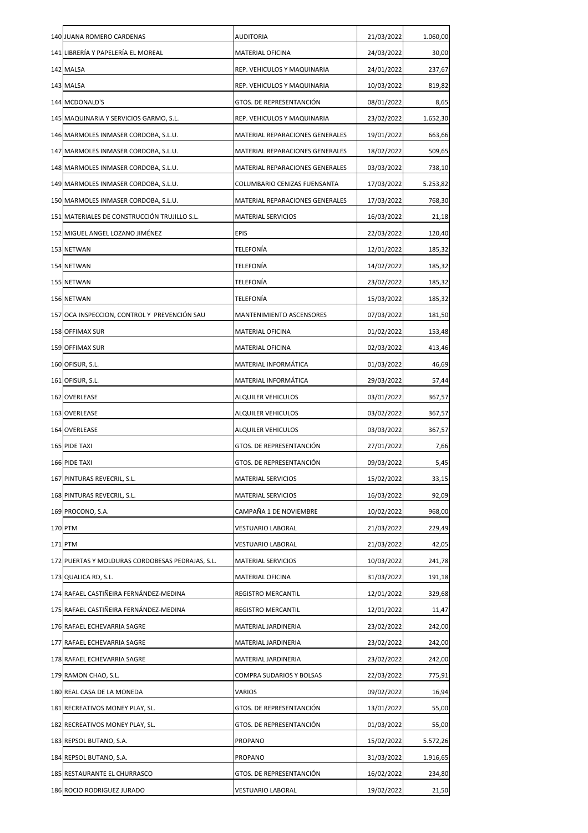| 140 JUANA ROMERO CARDENAS                        | <b>AUDITORIA</b>                | 21/03/2022 | 1.060,00 |
|--------------------------------------------------|---------------------------------|------------|----------|
| 141 LIBRERÍA Y PAPELERÍA EL MOREAL               | <b>MATERIAL OFICINA</b>         | 24/03/2022 | 30,00    |
| 142 MALSA                                        | REP. VEHICULOS Y MAQUINARIA     | 24/01/2022 | 237,67   |
| 143 MALSA                                        | REP. VEHICULOS Y MAQUINARIA     | 10/03/2022 | 819,82   |
| 144 MCDONALD'S                                   | GTOS. DE REPRESENTANCIÓN        | 08/01/2022 | 8,65     |
| 145 MAQUINARIA Y SERVICIOS GARMO, S.L.           | REP. VEHICULOS Y MAQUINARIA     | 23/02/2022 | 1.652,30 |
| 146 MARMOLES INMASER CORDOBA, S.L.U.             | MATERIAL REPARACIONES GENERALES | 19/01/2022 | 663,66   |
| 147 MARMOLES INMASER CORDOBA, S.L.U.             | MATERIAL REPARACIONES GENERALES | 18/02/2022 | 509,65   |
| 148 MARMOLES INMASER CORDOBA, S.L.U.             | MATERIAL REPARACIONES GENERALES | 03/03/2022 | 738,10   |
| 149 MARMOLES INMASER CORDOBA, S.L.U.             | COLUMBARIO CENIZAS FUENSANTA    | 17/03/2022 | 5.253,82 |
| 150 MARMOLES INMASER CORDOBA, S.L.U.             | MATERIAL REPARACIONES GENERALES | 17/03/2022 | 768,30   |
| 151 MATERIALES DE CONSTRUCCIÓN TRUJILLO S.L.     | MATERIAL SERVICIOS              | 16/03/2022 | 21,18    |
| 152 MIGUEL ANGEL LOZANO JIMÉNEZ                  | <b>EPIS</b>                     | 22/03/2022 | 120,40   |
| 153 NETWAN                                       | <b>TELEFONÍA</b>                | 12/01/2022 | 185,32   |
| 154 NETWAN                                       | <b>TELEFONÍA</b>                | 14/02/2022 | 185,32   |
| 155 NETWAN                                       | TELEFONÍA                       | 23/02/2022 | 185,32   |
| 156 NETWAN                                       | TELEFONÍA                       | 15/03/2022 | 185,32   |
| 157 OCA INSPECCION, CONTROL Y PREVENCIÓN SAU     | MANTENIMIENTO ASCENSORES        | 07/03/2022 | 181,50   |
| 158 OFFIMAX SUR                                  | MATERIAL OFICINA                | 01/02/2022 | 153,48   |
| 159 OFFIMAX SUR                                  | MATERIAL OFICINA                | 02/03/2022 | 413,46   |
| 160 OFISUR, S.L.                                 | MATERIAL INFORMÁTICA            | 01/03/2022 | 46,69    |
| 161 OFISUR, S.L.                                 | MATERIAL INFORMÁTICA            | 29/03/2022 | 57,44    |
| 162 OVERLEASE                                    | <b>ALQUILER VEHICULOS</b>       | 03/01/2022 | 367,57   |
| 163 OVERLEASE                                    | ALQUILER VEHICULOS              | 03/02/2022 | 367,57   |
| 164 OVERLEASE                                    | <b>ALQUILER VEHICULOS</b>       | 03/03/2022 | 367,57   |
| 165 PIDE TAXI                                    | GTOS. DE REPRESENTANCIÓN        | 27/01/2022 | 7,66     |
| 166 PIDE TAXI                                    | GTOS. DE REPRESENTANCIÓN        | 09/03/2022 | 5,45     |
| 167 PINTURAS REVECRIL, S.L.                      | MATERIAL SERVICIOS              | 15/02/2022 | 33,15    |
| 168 PINTURAS REVECRIL, S.L.                      | MATERIAL SERVICIOS              | 16/03/2022 | 92,09    |
| 169 PROCONO, S.A.                                | CAMPAÑA 1 DE NOVIEMBRE          | 10/02/2022 | 968,00   |
| 170 PTM                                          | VESTUARIO LABORAL               | 21/03/2022 | 229,49   |
| 171 PTM                                          | VESTUARIO LABORAL               | 21/03/2022 | 42,05    |
| 172 PUERTAS Y MOLDURAS CORDOBESAS PEDRAJAS, S.L. | MATERIAL SERVICIOS              | 10/03/2022 | 241,78   |
| 173 QUALICA RD, S.L.                             | <b>MATERIAL OFICINA</b>         | 31/03/2022 | 191,18   |
| 174 RAFAEL CASTIÑEIRA FERNÁNDEZ-MEDINA           | REGISTRO MERCANTIL              | 12/01/2022 | 329,68   |
| 175 RAFAEL CASTIÑEIRA FERNÁNDEZ-MEDINA           | REGISTRO MERCANTIL              | 12/01/2022 | 11,47    |
| 176 RAFAEL ECHEVARRIA SAGRE                      | MATERIAL JARDINERIA             | 23/02/2022 | 242,00   |
| 177 RAFAEL ECHEVARRIA SAGRE                      | MATERIAL JARDINERIA             | 23/02/2022 | 242,00   |
| 178 RAFAEL ECHEVARRIA SAGRE                      | MATERIAL JARDINERIA             | 23/02/2022 | 242,00   |
| 179 RAMON CHAO, S.L.                             | COMPRA SUDARIOS Y BOLSAS        | 22/03/2022 | 775,91   |
| 180 REAL CASA DE LA MONEDA                       | VARIOS                          | 09/02/2022 | 16,94    |
| 181 RECREATIVOS MONEY PLAY, SL.                  | GTOS. DE REPRESENTANCIÓN        | 13/01/2022 | 55,00    |
| 182 RECREATIVOS MONEY PLAY, SL.                  | GTOS. DE REPRESENTANCIÓN        | 01/03/2022 | 55,00    |
| 183 REPSOL BUTANO, S.A.                          | PROPANO                         | 15/02/2022 | 5.572,26 |
| 184 REPSOL BUTANO, S.A.                          | PROPANO                         | 31/03/2022 | 1.916,65 |
| 185 RESTAURANTE EL CHURRASCO                     | GTOS. DE REPRESENTANCIÓN        | 16/02/2022 | 234,80   |
| 186 ROCIO RODRIGUEZ JURADO                       | VESTUARIO LABORAL               | 19/02/2022 | 21,50    |